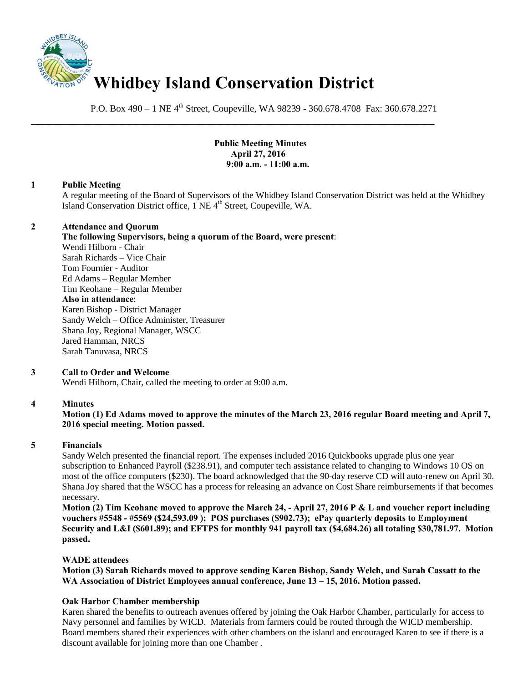

P.O. Box 490 – 1 NE 4<sup>th</sup> Street, Coupeville, WA 98239 - 360.678.4708 Fax: 360.678.2271

\_\_\_\_\_\_\_\_\_\_\_\_\_\_\_\_\_\_\_\_\_\_\_\_\_\_\_\_\_\_\_\_\_\_\_\_\_\_\_\_\_\_\_\_\_\_\_\_\_\_\_\_\_\_\_\_\_\_\_\_\_\_\_\_\_\_\_\_\_\_\_\_\_\_\_\_\_\_

### **Public Meeting Minutes April 27, 2016 9:00 a.m. - 11:00 a.m.**

#### **1 Public Meeting**

A regular meeting of the Board of Supervisors of the Whidbey Island Conservation District was held at the Whidbey Island Conservation District office, 1 NE 4<sup>th</sup> Street, Coupeville, WA.

#### **2 Attendance and Quorum**

**The following Supervisors, being a quorum of the Board, were present**: Wendi Hilborn - Chair Sarah Richards – Vice Chair

Tom Fournier - Auditor Ed Adams – Regular Member Tim Keohane – Regular Member **Also in attendance**: Karen Bishop - District Manager Sandy Welch – Office Administer, Treasurer Shana Joy, Regional Manager, WSCC Jared Hamman, NRCS Sarah Tanuvasa, NRCS

# **3 Call to Order and Welcome**

Wendi Hilborn, Chair, called the meeting to order at 9:00 a.m.

# **4 Minutes**

# **Motion (1) Ed Adams moved to approve the minutes of the March 23, 2016 regular Board meeting and April 7, 2016 special meeting. Motion passed.**

# **5 Financials**

Sandy Welch presented the financial report. The expenses included 2016 Quickbooks upgrade plus one year subscription to Enhanced Payroll (\$238.91), and computer tech assistance related to changing to Windows 10 OS on most of the office computers (\$230). The board acknowledged that the 90-day reserve CD will auto-renew on April 30. Shana Joy shared that the WSCC has a process for releasing an advance on Cost Share reimbursements if that becomes necessary.

**Motion (2) Tim Keohane moved to approve the March 24, - April 27, 2016 P & L and voucher report including vouchers #5548 - #5569 (\$24,593.09 ); POS purchases (\$902.73); ePay quarterly deposits to Employment Security and L&I (\$601.89); and EFTPS for monthly 941 payroll tax (\$4,684.26) all totaling \$30,781.97. Motion passed.** 

# **WADE attendees**

**Motion (3) Sarah Richards moved to approve sending Karen Bishop, Sandy Welch, and Sarah Cassatt to the WA Association of District Employees annual conference, June 13 – 15, 2016. Motion passed.**

# **Oak Harbor Chamber membership**

Karen shared the benefits to outreach avenues offered by joining the Oak Harbor Chamber, particularly for access to Navy personnel and families by WICD. Materials from farmers could be routed through the WICD membership. Board members shared their experiences with other chambers on the island and encouraged Karen to see if there is a discount available for joining more than one Chamber .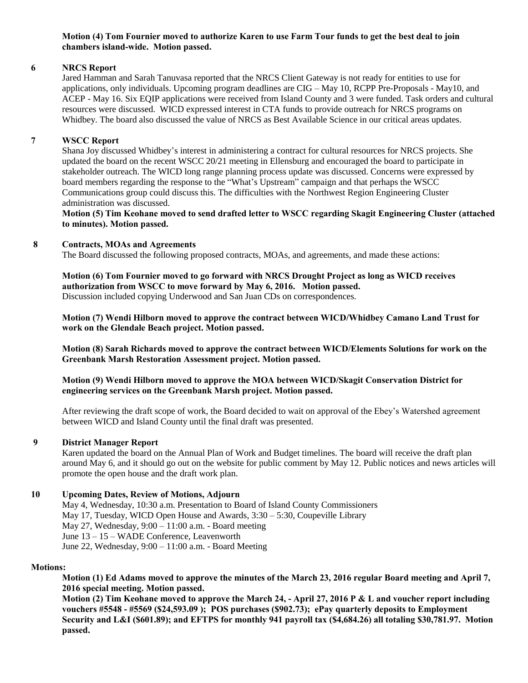**Motion (4) Tom Fournier moved to authorize Karen to use Farm Tour funds to get the best deal to join chambers island-wide. Motion passed.** 

# **6 NRCS Report**

Jared Hamman and Sarah Tanuvasa reported that the NRCS Client Gateway is not ready for entities to use for applications, only individuals. Upcoming program deadlines are CIG – May 10, RCPP Pre-Proposals - May10, and ACEP - May 16. Six EQIP applications were received from Island County and 3 were funded. Task orders and cultural resources were discussed. WICD expressed interest in CTA funds to provide outreach for NRCS programs on Whidbey. The board also discussed the value of NRCS as Best Available Science in our critical areas updates.

#### **7 WSCC Report**

Shana Joy discussed Whidbey's interest in administering a contract for cultural resources for NRCS projects. She updated the board on the recent WSCC 20/21 meeting in Ellensburg and encouraged the board to participate in stakeholder outreach. The WICD long range planning process update was discussed. Concerns were expressed by board members regarding the response to the "What's Upstream" campaign and that perhaps the WSCC Communications group could discuss this. The difficulties with the Northwest Region Engineering Cluster administration was discussed.

**Motion (5) Tim Keohane moved to send drafted letter to WSCC regarding Skagit Engineering Cluster (attached to minutes). Motion passed.** 

#### **8 Contracts, MOAs and Agreements**

The Board discussed the following proposed contracts, MOAs, and agreements, and made these actions:

**Motion (6) Tom Fournier moved to go forward with NRCS Drought Project as long as WICD receives authorization from WSCC to move forward by May 6, 2016. Motion passed.**  Discussion included copying Underwood and San Juan CDs on correspondences.

**Motion (7) Wendi Hilborn moved to approve the contract between WICD/Whidbey Camano Land Trust for work on the Glendale Beach project. Motion passed.** 

**Motion (8) Sarah Richards moved to approve the contract between WICD/Elements Solutions for work on the Greenbank Marsh Restoration Assessment project. Motion passed.** 

### **Motion (9) Wendi Hilborn moved to approve the MOA between WICD/Skagit Conservation District for engineering services on the Greenbank Marsh project. Motion passed.**

After reviewing the draft scope of work, the Board decided to wait on approval of the Ebey's Watershed agreement between WICD and Island County until the final draft was presented.

#### **9 District Manager Report**

Karen updated the board on the Annual Plan of Work and Budget timelines. The board will receive the draft plan around May 6, and it should go out on the website for public comment by May 12. Public notices and news articles will promote the open house and the draft work plan.

#### **10 Upcoming Dates, Review of Motions, Adjourn**

May 4, Wednesday, 10:30 a.m. Presentation to Board of Island County Commissioners May 17, Tuesday, WICD Open House and Awards, 3:30 – 5:30, Coupeville Library May 27, Wednesday, 9:00 – 11:00 a.m. - Board meeting June 13 – 15 – WADE Conference, Leavenworth June 22, Wednesday, 9:00 – 11:00 a.m. - Board Meeting

#### **Motions:**

**Motion (1) Ed Adams moved to approve the minutes of the March 23, 2016 regular Board meeting and April 7, 2016 special meeting. Motion passed.** 

**Motion (2) Tim Keohane moved to approve the March 24, - April 27, 2016 P & L and voucher report including vouchers #5548 - #5569 (\$24,593.09 ); POS purchases (\$902.73); ePay quarterly deposits to Employment Security and L&I (\$601.89); and EFTPS for monthly 941 payroll tax (\$4,684.26) all totaling \$30,781.97. Motion passed.**